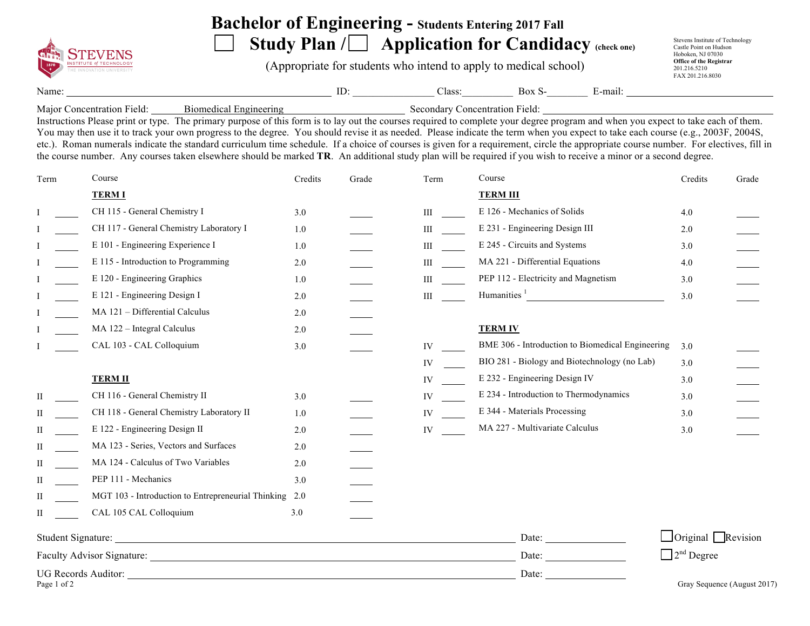

## **Bachelor of Engineering - Students Entering 2017 Fall**

Study Plan / **Application for Candidacy** (check one)

(Appropriate for students who intend to apply to medical school)

Stevens Institute of Technology Castle Point on Hudson Hoboken, NJ 07030 **Office of the Registrar**  201.216.5210 FAX 201.216.8030

Name: ID: Class: Box S- E-mail:

Major Concentration Field: Biomedical Engineering Secondary Concentration Field:

Instructions Please print or type. The primary purpose of this form is to lay out the courses required to complete your degree program and when you expect to take each of them. You may then use it to track your own progress to the degree. You should revise it as needed. Please indicate the term when you expect to take each course (e.g., 2003F, 2004S, etc.). Roman numerals indicate the standard curriculum time schedule. If a choice of courses is given for a requirement, circle the appropriate course number. For electives, fill in the course number. Any courses taken elsewhere should be marked **TR**. An additional study plan will be required if you wish to receive a minor or a second degree.

| Term                       | Course                                                 | Credits | Grade | Term                   | Course                                           | Credits                         | Grade                       |
|----------------------------|--------------------------------------------------------|---------|-------|------------------------|--------------------------------------------------|---------------------------------|-----------------------------|
|                            | <b>TERM I</b>                                          |         |       |                        | <b>TERM III</b>                                  |                                 |                             |
|                            | CH 115 - General Chemistry I                           | 3.0     |       | Ш                      | E 126 - Mechanics of Solids                      | 4.0                             |                             |
|                            | CH 117 - General Chemistry Laboratory I                | 1.0     |       | III                    | E 231 - Engineering Design III                   | 2.0                             |                             |
|                            | E 101 - Engineering Experience I                       | 1.0     |       | <b>III</b> and the set | E 245 - Circuits and Systems                     | 3.0                             |                             |
|                            | E 115 - Introduction to Programming                    | 2.0     |       | <b>III</b> and the set | MA 221 - Differential Equations                  | 4.0                             |                             |
|                            | E 120 - Engineering Graphics                           | 1.0     |       | <b>III</b> and the set | PEP 112 - Electricity and Magnetism              | 3.0                             |                             |
|                            | E 121 - Engineering Design I                           | 2.0     |       | <b>III</b> and the set | Humanities $\frac{1}{1}$                         | 3.0                             |                             |
|                            | MA 121 - Differential Calculus                         | 2.0     |       |                        |                                                  |                                 |                             |
|                            | MA 122 - Integral Calculus                             | 2.0     |       |                        | <b>TERM IV</b>                                   |                                 |                             |
|                            | CAL 103 - CAL Colloquium                               | 3.0     |       | IV                     | BME 306 - Introduction to Biomedical Engineering | 3.0                             |                             |
|                            |                                                        |         |       | IV                     | BIO 281 - Biology and Biotechnology (no Lab)     | 3.0                             |                             |
|                            | <b>TERM II</b>                                         |         |       | IV                     | E 232 - Engineering Design IV                    | 3.0                             |                             |
| $\rm{II}$                  | CH 116 - General Chemistry II                          | 3.0     |       | IV                     | E 234 - Introduction to Thermodynamics           | 3.0                             |                             |
| П                          | CH 118 - General Chemistry Laboratory II               | 1.0     |       | IV                     | E 344 - Materials Processing                     | 3.0                             |                             |
| П                          | E 122 - Engineering Design II                          | 2.0     |       | IV                     | MA 227 - Multivariate Calculus                   | 3.0                             |                             |
| П                          | MA 123 - Series, Vectors and Surfaces                  | 2.0     |       |                        |                                                  |                                 |                             |
| H                          | MA 124 - Calculus of Two Variables                     | 2.0     |       |                        |                                                  |                                 |                             |
| П                          | PEP 111 - Mechanics                                    | 3.0     |       |                        |                                                  |                                 |                             |
| П                          | MGT 103 - Introduction to Entrepreneurial Thinking 2.0 |         |       |                        |                                                  |                                 |                             |
| П                          | CAL 105 CAL Colloquium                                 | 3.0     |       |                        |                                                  |                                 |                             |
|                            |                                                        |         |       |                        | Date: $\overline{\phantom{a}}$                   | $\Box$ Original $\Box$ Revision |                             |
| Faculty Advisor Signature: |                                                        |         |       |                        | Date:                                            | $\Box$ 2 <sup>nd</sup> Degree   |                             |
|                            |                                                        |         |       |                        | Date:                                            |                                 |                             |
| Page 1 of 2                |                                                        |         |       |                        |                                                  |                                 | Gray Sequence (August 2017) |